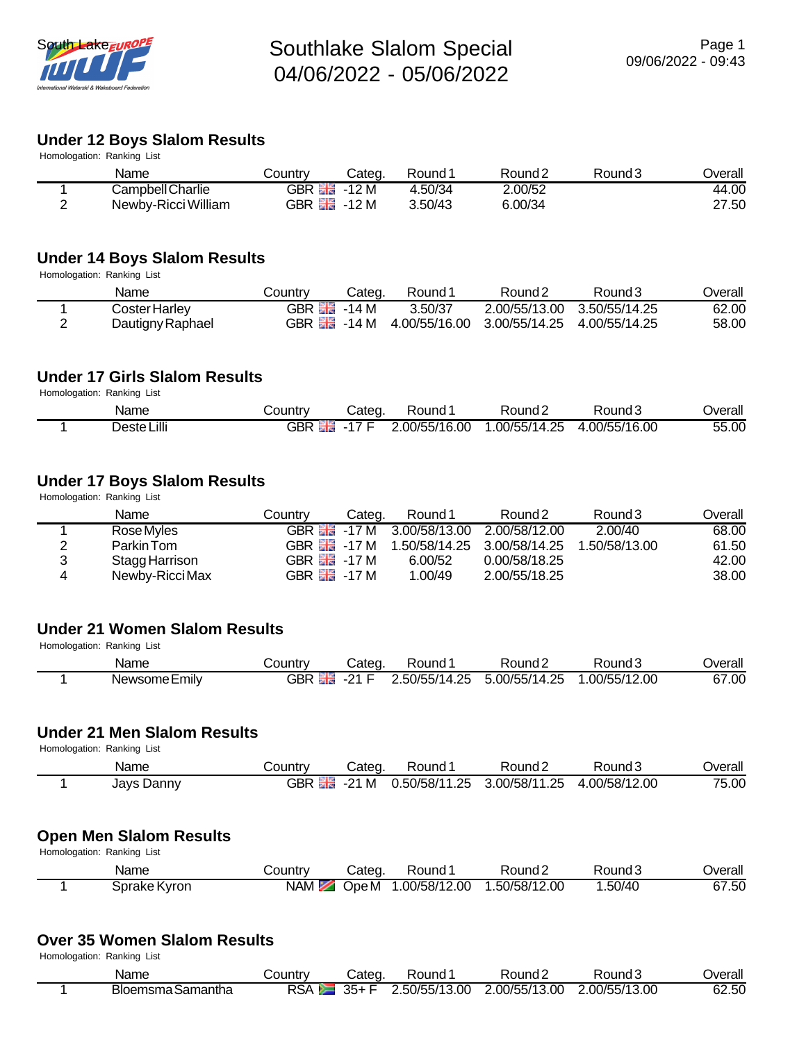

#### **Under 12 Boys Slalom Results**

| Homologation: Ranking List |                     |         |                            |         |                    |        |                |  |  |  |
|----------------------------|---------------------|---------|----------------------------|---------|--------------------|--------|----------------|--|--|--|
|                            | Name                | Countrv | Cated                      | Round 1 | Round <sub>2</sub> | Round3 | <b>Dverall</b> |  |  |  |
|                            | Campbell Charlie    |         | GBR $\frac{12}{20}$ -12 M  | 4.50/34 | 2.00/52            |        | 44.00          |  |  |  |
| ⌒                          | Newby-Ricci William |         | GBR $\frac{12}{100}$ -12 M | 3.50/43 | 6.00/34            |        | 27.50          |  |  |  |

#### **Under 14 Boys Slalom Results**

Homologation: Ranking List

| Name             | .ountryٽ                    | Categ.                     | Round <sup>1</sup> | Round <sub>2</sub>          | Round3        | <b>Jverall</b> |
|------------------|-----------------------------|----------------------------|--------------------|-----------------------------|---------------|----------------|
| Coster Harley    | GBR $\frac{100}{200}$ -14 M |                            | 3.50/37            | 2.00/55/13.00 3.50/55/14.25 |               | 62.00          |
| Dautigny Raphael |                             | GBR $\frac{15}{200}$ -14 M |                    | 4.00/55/16.00 3.00/55/14.25 | 4.00/55/14.25 | 58.00          |

#### **Under 17 Girls Slalom Results**

Homologation: Ranking List

| Name        | ountryٽ | Cateɑ | Round "     | Round 2       | Round 3       | Overall |
|-------------|---------|-------|-------------|---------------|---------------|---------|
| Deste Lilli | GBR     | 47    | 00/55/16.00 | 1.00/55/14.25 | 4.00/55/16.00 | 55.00   |

## **Under 17 Boys Slalom Results**

Homologation: Ranking List

|   | Name            | Countrv                     | Cateɑ. | Round 1                                  | Round <sub>2</sub>          | Round 3       | Overall |
|---|-----------------|-----------------------------|--------|------------------------------------------|-----------------------------|---------------|---------|
|   | Rose Myles      |                             |        | GBR 58 -17 M 3.00/58/13.00 2.00/58/12.00 |                             | 2.00/40       | 68.00   |
| 2 | Parkin Tom      | GBR <i>틞</i> 릃 -17 M        |        |                                          | 1.50/58/14.25 3.00/58/14.25 | 1.50/58/13.00 | 61.50   |
| 3 | Stagg Harrison  | GBR $\frac{812}{100}$ -17 M |        | 6.00/52                                  | 0.00/58/18.25               |               | 42.00   |
| 4 | Newby-Ricci Max | GBR $\frac{12}{20}$ -17 M   |        | 1.00/49                                  | 2.00/55/18.25               |               | 38.00   |

#### **Under 21 Women Slalom Results**

Homologation: Ranking List

| Name          | ountryٽ | Cated             | Round "       | Round∠        | Round?       | Jverall |
|---------------|---------|-------------------|---------------|---------------|--------------|---------|
| Newsome Emily | GBR     | $\Omega$ $\Gamma$ | 3.50/55/14.25 | 5.00/55/14.25 | .00/55/12.00 | 67.00   |

## **Under 21 Men Slalom Results**

Homologation: Ranking List

| Name       | Country          | Cateq | Round              | Round's       | Round 3       | Overall |
|------------|------------------|-------|--------------------|---------------|---------------|---------|
| Jays Danny | --<br>GBR.<br>医菌 | -21 M | 0.50/58/11<br>. 25 | 3.00/58/11.25 | 1.00/58/12.00 | 75.00   |

#### **Open Men Slalom Results**

Homologation: Ranking List

| Name         | Country | Cated | Round "      | Round 2       | Round3  | Jverall |
|--------------|---------|-------|--------------|---------------|---------|---------|
| Sprake Kyron | NAM     | Ope M | .00/58/12.00 | 1.50/58/12.00 | 1.50/40 | 67.50   |

#### **Over 35 Women Slalom Results**

Homologation: Ranking List

| Name              | <b>COUNTRY</b> | Categ. | Round               | Round∠       | Round J       | Overall |
|-------------------|----------------|--------|---------------------|--------------|---------------|---------|
| Bloemsma Samantha | <b>RSA</b>     | $35+$  | 2.50/55/13<br>13.00 | .00/55/13.00 | 2.00/55/13.00 | 62.50   |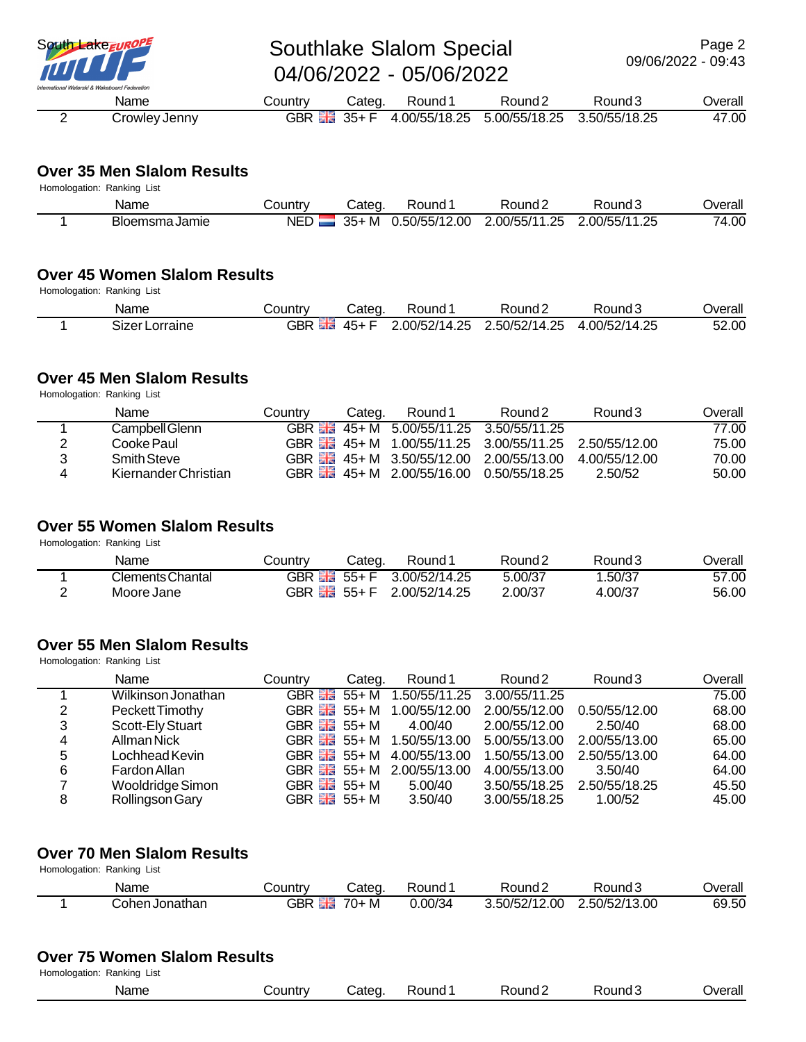

## South Lake Europe Southlake Slalom Special 04/06/2022 - 05/06/2022

 Name Country Categ. Round 1 Round 2 Round 3 Overall 2 Crowley Jenny GBR 35+ F 4.00/55/18.25 5.00/55/18.25 3.50/55/18.25 47.00

#### **Over 35 Men Slalom Results**

| Homologation: Ranking List |                |            |       |               |               |               |         |  |  |  |
|----------------------------|----------------|------------|-------|---------------|---------------|---------------|---------|--|--|--|
|                            | Name           | Country    | Cated | Round:        | Round 2       | Round.        | Jverall |  |  |  |
|                            | Bloemsma Jamie | <b>NED</b> | 35+ M | 0.50/55/12.00 | 2.00/55/11.25 | 2.00/55/11.25 | 74.00   |  |  |  |

#### **Over 45 Women Slalom Results**

Homologation: Ranking List

| Name                          | ∟ountr∨   | Cated      | Round       | Round's                         | Round         | Overall |
|-------------------------------|-----------|------------|-------------|---------------------------------|---------------|---------|
| <b>.</b><br>Lorraine<br>Sizer | GBR<br>酒園 | . .<br>45+ | 00/52/14.25 | ∠.50/52/14 <sup>~</sup><br>25.ء | 1.00/52/14.25 | 52.00   |

## **Over 45 Men Slalom Results**

Homologation: Ranking List

|   | Name                 | Countrv | Categ. | Round 1                                                | Round <sub>2</sub>                                     | Round3        | Overall |
|---|----------------------|---------|--------|--------------------------------------------------------|--------------------------------------------------------|---------------|---------|
|   | Campbell Glenn       |         |        | GBR $\frac{12}{100}$ 45+ M 5.00/55/11.25 3.50/55/11.25 |                                                        |               | 77.00   |
|   | Cooke Paul           |         |        |                                                        | GBR HH 45+ M 1.00/55/11.25 3.00/55/11.25 2.50/55/12.00 |               | 75.00   |
|   | <b>Smith Steve</b>   |         |        |                                                        | GBR HH 45+ M 3.50/55/12.00 2.00/55/13.00               | 4 00/55/12 00 | 70.00   |
| Δ | Kiernander Christian |         |        |                                                        | GBR 26+ M 2.00/55/16.00 0.50/55/18.25                  | 2.50/52       | 50.00   |

#### **Over 55 Women Slalom Results**

Homologation: Ranking List

| Name             | Country                    | Categ. | Round:                    | Round 2 | Round 3 | <b>Jverall</b> |
|------------------|----------------------------|--------|---------------------------|---------|---------|----------------|
| Clements Chantal |                            |        | GBR - 55+ F 3.00/52/14.25 | 5.00/37 | .50/37  | 57.00          |
| Moore Jane       | GBR $\frac{12}{100}$ 55+ F |        | 2.00/52/14.25             | 2.00/37 | 4.00/37 | 56.00          |

## **Over 55 Men Slalom Results**

Homologation: Ranking List

|   | Name               | Country                       | Categ. | Round 1       | Round <sub>2</sub> | Round <sub>3</sub> | Overall |
|---|--------------------|-------------------------------|--------|---------------|--------------------|--------------------|---------|
|   | Wilkinson Jonathan | GBR $\frac{12}{10}$ 55+M      |        | 1.50/55/11.25 | 3.00/55/11.25      |                    | 75.00   |
| 2 | Peckett Timothy    | GBR $\frac{12}{12}$ 55+M      |        | 1.00/55/12.00 | 2.00/55/12.00      | 0.50/55/12.00      | 68.00   |
| 3 | Scott-Ely Stuart   | GBR $\frac{81}{20}$ 55+M      |        | 4.00/40       | 2.00/55/12.00      | 2.50/40            | 68.00   |
| 4 | Allman Nick        | GBR $\frac{81.2}{21.2}$ 55+ M |        | 1.50/55/13.00 | 5.00/55/13.00      | 2.00/55/13.00      | 65.00   |
| 5 | Lochhead Kevin     | GBR $\frac{81}{200}$ 55+ M    |        | 4.00/55/13.00 | 1.50/55/13.00      | 2.50/55/13.00      | 64.00   |
| 6 | Fardon Allan       | GBR $\frac{12}{100}$ 55+M     |        | 2.00/55/13.00 | 4.00/55/13.00      | 3.50/40            | 64.00   |
|   | Wooldridge Simon   | GBR $\frac{12}{100}$ 55+ M    |        | 5.00/40       | 3.50/55/18.25      | 2.50/55/18.25      | 45.50   |
| 8 | Rollingson Gary    | GBR $\frac{12}{12}$ 55+M      |        | 3.50/40       | 3.00/55/18.25      | 1.00/52            | 45.00   |

### **Over 70 Men Slalom Results**

Homologation: Ranking List

| Name           | ountryـ               | Categ      | ≺ound  | Round∠            | Round 3       | Overall |
|----------------|-----------------------|------------|--------|-------------------|---------------|---------|
| Cohen Jonathan | $- - -$<br><b>GBR</b> | $70+$<br>M | .00/34 | 3.50/52/12<br>.00 | 2.50/52/13.00 | 69.50   |

#### **Over 75 Women Slalom Results**

| Homologation: Ranking List |           |        |                    |         |         |                |
|----------------------------|-----------|--------|--------------------|---------|---------|----------------|
| Name                       | ountryــد | Categ. | Round <sup>1</sup> | Round 2 | Round's | <b>Jverall</b> |